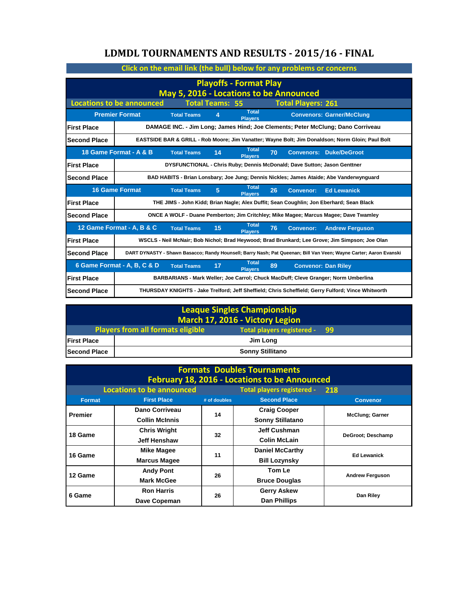## **LDMDL TOURNAMENTS AND RESULTS - 2015/16 - FINAL**

| Click on the email link (the bull) below for any problems or concerns |                                                                                                                             |                                                                          |    |                                |    |                  |                                                                                                                   |
|-----------------------------------------------------------------------|-----------------------------------------------------------------------------------------------------------------------------|--------------------------------------------------------------------------|----|--------------------------------|----|------------------|-------------------------------------------------------------------------------------------------------------------|
| <b>Playoffs - Format Play</b>                                         |                                                                                                                             |                                                                          |    |                                |    |                  |                                                                                                                   |
|                                                                       | May 5, 2016 - Locations to be Announced                                                                                     |                                                                          |    |                                |    |                  |                                                                                                                   |
|                                                                       | <b>Locations to be announced</b><br><b>Total Teams: 55</b><br><b>Total Players: 261</b>                                     |                                                                          |    |                                |    |                  |                                                                                                                   |
|                                                                       | <b>Premier Format</b>                                                                                                       | <b>Total Teams</b>                                                       |    | Total<br><b>Players</b>        |    |                  | <b>Convenors: Garner/McClung</b>                                                                                  |
| <b>First Place</b>                                                    |                                                                                                                             |                                                                          |    |                                |    |                  | DAMAGE INC. - Jim Long; James Hind; Joe Clements; Peter McClung; Dano Corriveau                                   |
| <b>Second Place</b>                                                   |                                                                                                                             |                                                                          |    |                                |    |                  | EASTSIDE BAR & GRILL - Rob Moore; Jim Vanatter; Wayne Bolt; Jim Donaldson; Norm Gloin; Paul Bolt                  |
|                                                                       | 18 Game Format - A & B                                                                                                      | <b>Total Teams</b>                                                       | 14 | Total<br><b>Players</b>        | 70 |                  | <b>Convenors: Duke/DeGroot</b>                                                                                    |
| <b>First Place</b>                                                    |                                                                                                                             | DYSFUNCTIONAL - Chris Ruby; Dennis McDonald; Dave Sutton; Jason Genttner |    |                                |    |                  |                                                                                                                   |
| <b>Second Place</b>                                                   |                                                                                                                             |                                                                          |    |                                |    |                  | BAD HABITS - Brian Lonsbary; Joe Jung; Dennis Nickles; James Ataide; Abe Vanderwynguard                           |
|                                                                       | Total<br><b>16 Game Format</b><br>26<br><b>Ed Lewanick</b><br><b>Total Teams</b><br>5<br><b>Convenor:</b><br><b>Plavers</b> |                                                                          |    |                                |    |                  |                                                                                                                   |
| <b>First Place</b>                                                    | THE JIMS - John Kidd; Brian Nagle; Alex Duffit; Sean Coughlin; Jon Eberhard; Sean Black                                     |                                                                          |    |                                |    |                  |                                                                                                                   |
|                                                                       |                                                                                                                             |                                                                          |    |                                |    |                  |                                                                                                                   |
| <b>Second Place</b>                                                   |                                                                                                                             |                                                                          |    |                                |    |                  | ONCE A WOLF - Duane Pemberton; Jim Critchley; Mike Magee; Marcus Magee; Dave Twamley                              |
|                                                                       | 12 Game Format - A, B & C                                                                                                   | <b>Total Teams</b>                                                       | 15 | Total<br><b>Players</b>        | 76 | <b>Convenor:</b> | <b>Andrew Ferguson</b>                                                                                            |
| <b>First Place</b>                                                    |                                                                                                                             |                                                                          |    |                                |    |                  | WSCLS - Neil McNair; Bob Nichol; Brad Heywood; Brad Brunkard; Lee Grove; Jim Simpson; Joe Olan                    |
| <b>Second Place</b>                                                   |                                                                                                                             |                                                                          |    |                                |    |                  | DART DYNASTY - Shawn Basacco; Randy Hounsell; Barry Nash; Pat Queenan; Bill Van Veen; Wayne Carter; Aaron Evanski |
|                                                                       | 6 Game Format - A, B, C & D                                                                                                 | <b>Total Teams</b>                                                       | 17 | <b>Total</b><br><b>Players</b> | 89 |                  | <b>Convenor: Dan Riley</b>                                                                                        |
| <b>First Place</b>                                                    |                                                                                                                             |                                                                          |    |                                |    |                  | BARBARIANS - Mark Weller; Joe Carrol; Chuck MacDuff; Cleve Granger; Norm Umberlina                                |

| <b>League Singles Championship</b><br>March 17, 2016 - Victory Legion |                                                                           |  |  |
|-----------------------------------------------------------------------|---------------------------------------------------------------------------|--|--|
|                                                                       | Total players registered - 99<br><b>Players from all formats eligible</b> |  |  |
| <b>First Place</b>                                                    | Jim Long                                                                  |  |  |
| <b>Second Place</b>                                                   | <b>Sonny Stillitano</b>                                                   |  |  |

| <b>Formats Doubles Tournaments</b><br><b>February 18, 2016 - Locations to be Announced</b> |                                  |              |                            |                         |
|--------------------------------------------------------------------------------------------|----------------------------------|--------------|----------------------------|-------------------------|
|                                                                                            | <b>Locations to be announced</b> |              | Total players registered - | 218                     |
| <b>Format</b>                                                                              | <b>First Place</b>               | # of doubles | <b>Second Place</b>        | <b>Convenor</b>         |
| <b>Premier</b>                                                                             | Dano Corriveau                   | 14           | <b>Craig Cooper</b>        | <b>McClung</b> ; Garner |
|                                                                                            | <b>Collin McInnis</b>            |              | <b>Sonny Stillatano</b>    |                         |
| 18 Game                                                                                    | <b>Chris Wright</b>              | 32           | <b>Jeff Cushman</b>        | DeGroot; Deschamp       |
|                                                                                            | Jeff Henshaw                     |              | <b>Colin McLain</b>        |                         |
| 16 Game                                                                                    | <b>Mike Magee</b>                | 11           | <b>Daniel McCarthy</b>     | <b>Ed Lewanick</b>      |
|                                                                                            | <b>Marcus Magee</b>              |              | <b>Bill Lozynsky</b>       |                         |
| 12 Game                                                                                    | <b>Andy Pont</b>                 | 26           | Tom Le                     |                         |
|                                                                                            | <b>Mark McGee</b>                |              | <b>Bruce Douglas</b>       | <b>Andrew Ferguson</b>  |
|                                                                                            | <b>Ron Harris</b>                | 26           | <b>Gerry Askew</b>         | Dan Riley               |
| 6 Game                                                                                     | Dave Copeman                     |              | <b>Dan Phillips</b>        |                         |